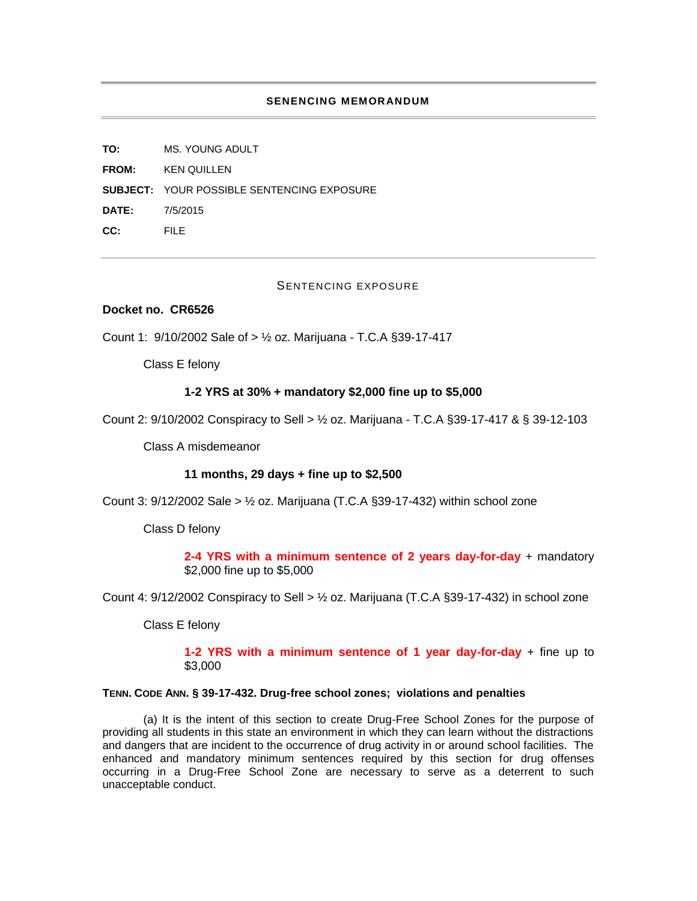## **SENENCING MEMORANDUM**

**TO:** MS. YOUNG ADULT **FROM:** KEN QUILLEN **SUBJECT:** YOUR POSSIBLE SENTENCING EXPOSURE **DATE:** 7/5/2015 **CC:** FILE

## SENTENCING EXPOSURE

## **Docket no. CR6526**

Count 1: 9/10/2002 Sale of > ½ oz. Marijuana - T.C.A §39-17-417

Class E felony

# **1-2 YRS at 30% + mandatory \$2,000 fine up to \$5,000**

Count 2: 9/10/2002 Conspiracy to Sell > ½ oz. Marijuana - T.C.A §39-17-417 & § 39-12-103

Class A misdemeanor

#### **11 months, 29 days + fine up to \$2,500**

Count 3:  $9/12/2002$  Sale  $> ½$  oz. Marijuana (T.C.A §39-17-432) within school zone

Class D felony

**2-4 YRS with a minimum sentence of 2 years day-for-day** + mandatory \$2,000 fine up to \$5,000

Count 4:  $9/12/2002$  Conspiracy to Sell  $>$  1/2 oz. Marijuana (T.C.A §39-17-432) in school zone

Class E felony

**1-2 YRS with a minimum sentence of 1 year day-for-day** + fine up to \$3,000

## **TENN. CODE ANN. § 39-17-432. Drug-free school zones; violations and penalties**

(a) It is the intent of this section to create Drug-Free School Zones for the purpose of providing all students in this state an environment in which they can learn without the distractions and dangers that are incident to the occurrence of drug activity in or around school facilities. The enhanced and mandatory minimum sentences required by this section for drug offenses occurring in a Drug-Free School Zone are necessary to serve as a deterrent to such unacceptable conduct.